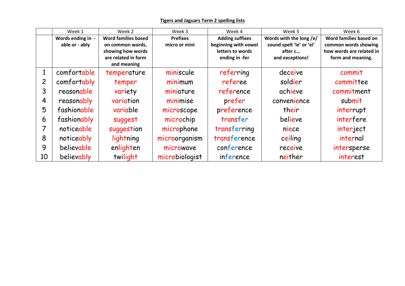|    | Week 1            | Week 2                     | Week 3          | Week 4                 | Week 5                   | Week 6                   |
|----|-------------------|----------------------------|-----------------|------------------------|--------------------------|--------------------------|
|    | Words ending in - | <b>Word families based</b> | <b>Prefixes</b> | <b>Adding suffixes</b> | Words with the long /e/  | Word families based on   |
|    | able or - ably    | on common words,           | micro or mini   | beginning with vowel   | sound spelt 'ie' or 'ei' | common words showing     |
|    |                   | showing how words          |                 | letters to words       | after c                  | how words are related in |
|    |                   | are related in form        |                 | ending in -fer         | and exceptions!          | form and meaning.        |
|    |                   | and meaning                |                 |                        |                          |                          |
|    | comfortable       | temperature                | miniscule       | referring              | deceive                  | commit                   |
| 2  | comfortably       | temper                     | minimum         | referee                | soldier                  | committee                |
| 3  | reasonable        | variety                    | miniature       | reference              | achieve                  | commitment               |
| 4  | reasonably        | variation                  | minimise        | prefer                 | convenience              | submit                   |
| 5  | fashionable       | variable                   | microscope      | preference             | their                    | interrupt                |
| 6  | fashionably       | suggest                    | microchip       | transfer               | believe                  | interfere                |
|    | noticeable        | suggestion                 | microphone      | transferring           | niece                    | interject                |
| 8  | noticeably        | lightning                  | microorganism   | transference           | ceiling                  | internal                 |
| 9  | believable        | enlighten                  | microwave       | conference             | receive                  | intersperse              |
| 10 | believably        | twilight                   | microbiologist  | inference              | neither                  | interest                 |